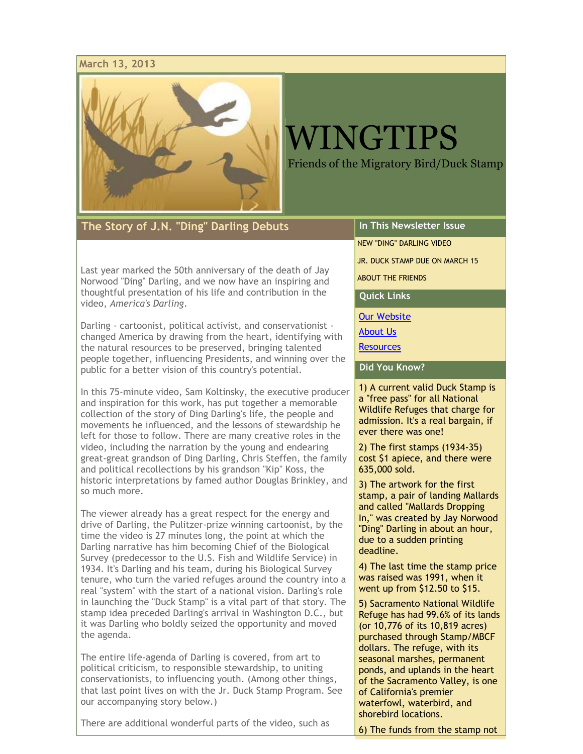#### **March 13, 2013**



# WINGTIPS

Friends of the Migratory Bird/Duck Stamp

**The Story of J.N. "Ding" Darling Debuts**

Last year marked the 50th anniversary of the death of Jay Norwood "Ding" Darling, and we now have an inspiring and thoughtful presentation of his life and contribution in the video, *America's Darling*.

Darling - cartoonist, political activist, and conservationist changed America by drawing from the heart, identifying with the natural resources to be preserved, bringing talented people together, influencing Presidents, and winning over the public for a better vision of this country's potential.

In this 75-minute video, Sam Koltinsky, the executive producer and inspiration for this work, has put together a memorable collection of the story of Ding Darling's life, the people and movements he influenced, and the lessons of stewardship he left for those to follow. There are many creative roles in the video, including the narration by the young and endearing great-great grandson of Ding Darling, Chris Steffen, the family and political recollections by his grandson "Kip" Koss, the historic interpretations by famed author Douglas Brinkley, and so much more.

The viewer already has a great respect for the energy and drive of Darling, the Pulitzer-prize winning cartoonist, by the time the video is 27 minutes long, the point at which the Darling narrative has him becoming Chief of the Biological Survey (predecessor to the U.S. Fish and Wildlife Service) in 1934. It's Darling and his team, during his Biological Survey tenure, who turn the varied refuges around the country into a real "system" with the start of a national vision. Darling's role in launching the "Duck Stamp" is a vital part of that story. The stamp idea preceded Darling's arrival in Washington D.C., but it was Darling who boldly seized the opportunity and moved the agenda.

The entire life-agenda of Darling is covered, from art to political criticism, to responsible stewardship, to uniting conservationists, to influencing youth. (Among other things, that last point lives on with the Jr. Duck Stamp Program. See our accompanying story below.)

There are additional wonderful parts of the video, such as

### **In This Newsletter Issue**

[NEW "DING" DARLING VIDEO](file:///C:/Users/owner/AppData/Local/Temp/eud9.htm%23LETTER.BLOCK6)

[JR. DUCK STAMP DUE ON MARCH 15](file:///C:/Users/owner/AppData/Local/Temp/eud9.htm%23LETTER.BLOCK10)

[ABOUT THE FRIENDS](file:///C:/Users/owner/AppData/Local/Temp/eud9.htm%23LETTER.BLOCK11)

**Quick Links**

[Our Website](http://r20.rs6.net/tn.jsp?e=001MU5scUrHJQFE-dK2CMrTDEEMsbpSjWt0aTs8IVrlOU4nmsys5i2dr2sbJnUzXHdlHKbdr_xifP9OmEqwvTMH6lL67MwGgjR9fz7WCS--jHGLxI8MVuuA9QiOABkujbnF)

[About Us](http://r20.rs6.net/tn.jsp?e=001MU5scUrHJQGlYM2yIiLXWCDOpVFK6GCKSh5xkzQtl5xHWlL7mXFADn-_E3Q6D8d99s976lDqzgX-RSOFMcSbxAOM3aaya3g6IKAakWri4KgrIi_5xF4pdWXaYr3l7Pxed9NBsKo5R6I=)

**[Resources](http://r20.rs6.net/tn.jsp?e=001MU5scUrHJQFZRleCcJJpUIMOiPSR8PcOpMSTGL0d9yG1A5ZMmz7x4MnDrWGKTMYgz0EM1OwiVuBaWzBKOVmZizDdCb3ublj6KyblbcW0gRI9QGUJXbeStgkwtnjatWjAGh62QFDcbS0=)** 

**Did You Know?**

1) A current valid Duck Stamp is a "free pass" for all National Wildlife Refuges that charge for admission. It's a real bargain, if ever there was one!

2) The first stamps (1934-35) cost \$1 apiece, and there were 635,000 sold.

3) The artwork for the first stamp, a pair of landing Mallards and called "Mallards Dropping In," was created by Jay Norwood "Ding" Darling in about an hour, due to a sudden printing deadline.

4) The last time the stamp price was raised was 1991, when it went up from \$12.50 to \$15.

5) Sacramento National Wildlife Refuge has had 99.6% of its lands (or 10,776 of its 10,819 acres) purchased through Stamp/MBCF dollars. The refuge, with its seasonal marshes, permanent ponds, and uplands in the heart of the Sacramento Valley, is one of California's premier waterfowl, waterbird, and shorebird locations.

6) The funds from the stamp not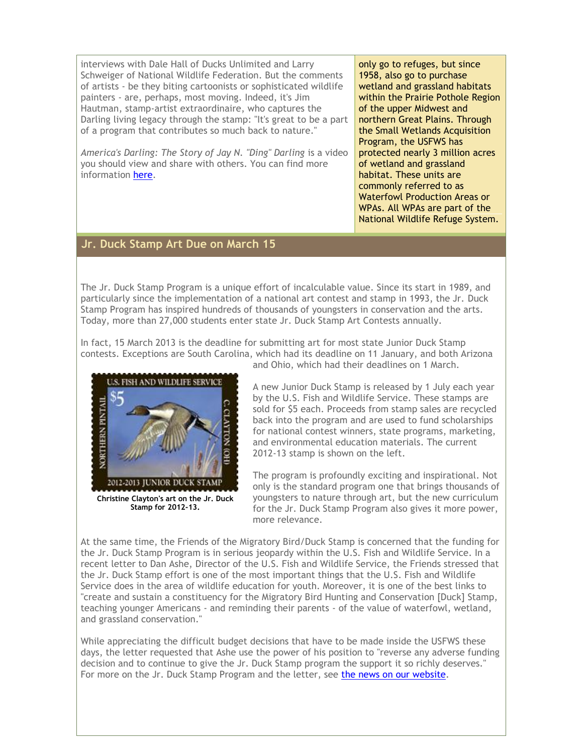interviews with Dale Hall of Ducks Unlimited and Larry Schweiger of National Wildlife Federation. But the comments of artists - be they biting cartoonists or sophisticated wildlife painters - are, perhaps, most moving. Indeed, it's Jim Hautman, stamp-artist extraordinaire, who captures the Darling living legacy through the stamp: "It's great to be a part of a program that contributes so much back to nature."

*America's Darling: The Story of Jay N. "Ding" Darling* is a video you should view and share with others. You can find more information [here.](http://r20.rs6.net/tn.jsp?e=001MU5scUrHJQFllCSexnmwjdRITL-f5Niqr0H9SDXXtkWAryKCtjExFrgRrSUTP-SWg6SlHcIutygg_uh2xJVq2kMTqAYTj0SSpPoWBtBTntMN-LRdIRLR7VSQ0yplZVOsw3lYD9qezIHLtrLWIS7Q8eTyOzCeinyNdWTtnJIw9EoTuOkTUnWm0wSrlFUD_35SkHO5wWzUR0I6TcfLxyjCpmw_jzNcM7rh)

only go to refuges, but since 1958, also go to purchase wetland and grassland habitats within the Prairie Pothole Region of the upper Midwest and northern Great Plains. Through the Small Wetlands Acquisition Program, the USFWS has protected nearly 3 million acres of wetland and grassland habitat. These units are commonly referred to as Waterfowl Production Areas or WPAs. All WPAs are part of the National Wildlife Refuge System.

#### **Jr. Duck Stamp Art Due on March 15**

The Jr. Duck Stamp Program is a unique effort of incalculable value. Since its start in 1989, and particularly since the implementation of a national art contest and stamp in 1993, the Jr. Duck Stamp Program has inspired hundreds of thousands of youngsters in conservation and the arts. Today, more than 27,000 students enter state Jr. Duck Stamp Art Contests annually.

In fact, 15 March 2013 is the deadline for submitting art for most state Junior Duck Stamp contests. Exceptions are South Carolina, which had its deadline on 11 January, and both Arizona



**Stamp for 2012-13.**

and Ohio, which had their deadlines on 1 March.

A new Junior Duck Stamp is released by 1 July each year by the U.S. Fish and Wildlife Service. These stamps are sold for \$5 each. Proceeds from stamp sales are recycled back into the program and are used to fund scholarships for national contest winners, state programs, marketing, and environmental education materials. The current 2012-13 stamp is shown on the left.

The program is profoundly exciting and inspirational. Not only is the standard program one that brings thousands of youngsters to nature through art, but the new curriculum for the Jr. Duck Stamp Program also gives it more power, more relevance.

At the same time, the Friends of the Migratory Bird/Duck Stamp is concerned that the funding for the Jr. Duck Stamp Program is in serious jeopardy within the U.S. Fish and Wildlife Service. In a recent letter to Dan Ashe, Director of the U.S. Fish and Wildlife Service, the Friends stressed that the Jr. Duck Stamp effort is one of the most important things that the U.S. Fish and Wildlife Service does in the area of wildlife education for youth. Moreover, it is one of the best links to "create and sustain a constituency for the Migratory Bird Hunting and Conservation [Duck] Stamp, teaching younger Americans - and reminding their parents - of the value of waterfowl, wetland, and grassland conservation."

While appreciating the difficult budget decisions that have to be made inside the USFWS these days, the letter requested that Ashe use the power of his position to "reverse any adverse funding decision and to continue to give the Jr. Duck Stamp program the support it so richly deserves." For more on the Jr. Duck Stamp Program and the letter, see [the news on our website.](http://r20.rs6.net/tn.jsp?e=001MU5scUrHJQGbu7A08nK84vsmtIrOdJgE4Czi7tOtdaxLkD92IxP6JCUbXCkCv2mCgt-b2cWDc4zAOWtCTfJVdZR1F1_TTYTUfQJlkj1W7baP7Ea-InbVWmBXsqBSK5pYcRxIGI7iZI50-8CTTLwzI3v3y4LedkFc_12vYCQlnADwjqkThwTMavDE5pUuoGBDcya6BUcPf2krV_MTKFEgGw==)